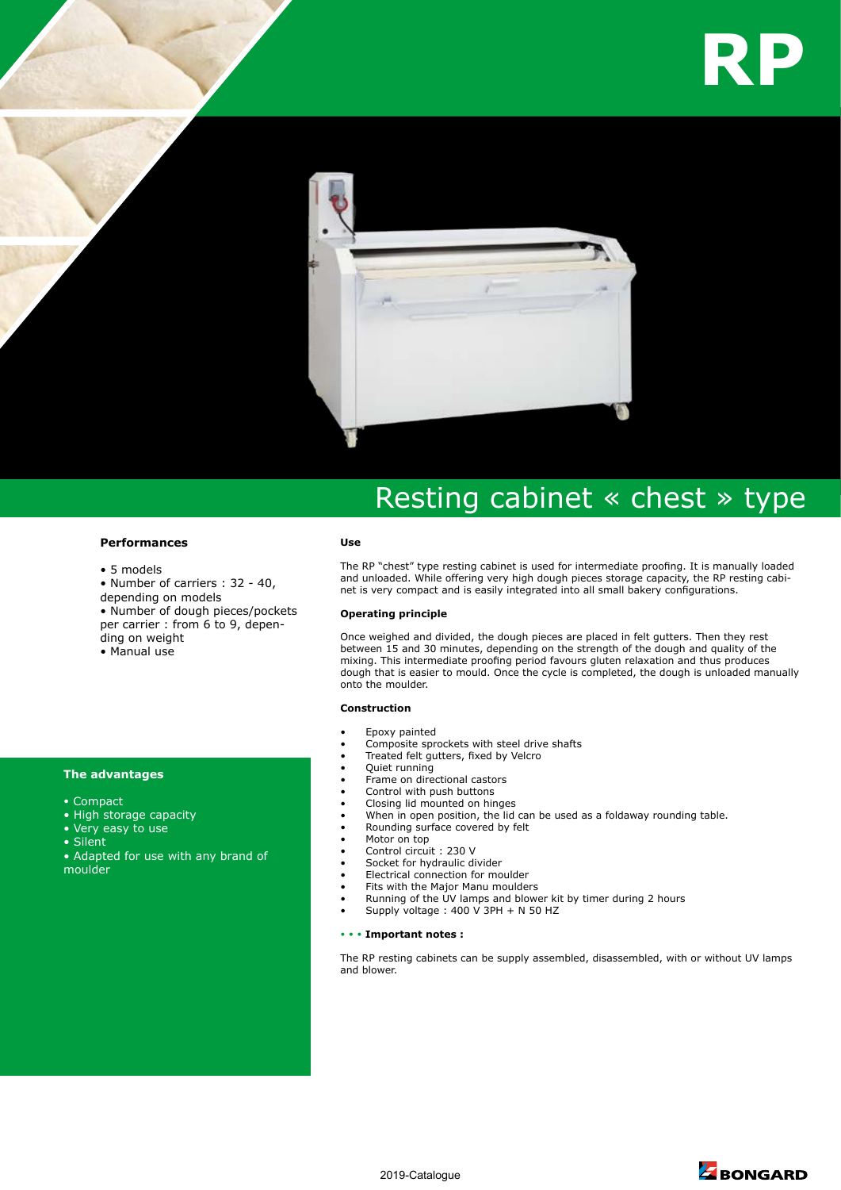



# Resting cabinet « chest » type

## **Performances**

- 5 models
- Number of carriers : 32 40,

depending on models

• Number of dough pieces/pockets per carrier : from 6 to 9, depending on weight

• Manual use

### **The advantages**

- Compact
- High storage capacity
- Very easy to use
- Silent

• Adapted for use with any brand of moulder

#### **Use**

The RP "chest" type resting cabinet is used for intermediate proofing. It is manually loaded and unloaded. While offering very high dough pieces storage capacity, the RP resting cabinet is very compact and is easily integrated into all small bakery configurations.

#### **Operating principle**

Once weighed and divided, the dough pieces are placed in felt gutters. Then they rest between 15 and 30 minutes, depending on the strength of the dough and quality of the mixing. This intermediate proofing period favours gluten relaxation and thus produces dough that is easier to mould. Once the cycle is completed, the dough is unloaded manually onto the moulder.

#### **Construction**

- Epoxy painted
- Composite sprockets with steel drive shafts
- Treated felt gutters, fixed by Velcro
- Quiet running
- Frame on directional castors
- Control with push buttons
- Closing lid mounted on hinges When in open position, the lid can be used as a foldaway rounding table.
- Rounding surface covered by felt
- Motor on top
- Control circuit : 230 V
- Socket for hydraulic divider
- Electrical connection for moulder
- Fits with the Major Manu moulders
- Running of the UV lamps and blower kit by timer during 2 hours
- Supply voltage : 400 V 3PH + N 50 HZ

#### • • • **Important notes :**

The RP resting cabinets can be supply assembled, disassembled, with or without UV lamps and blower.